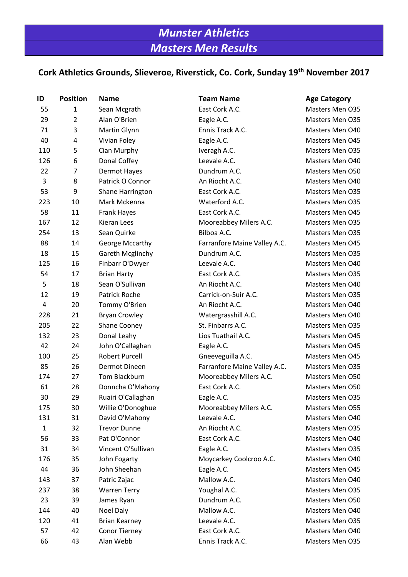# *Munster Athletics Masters Men Results*

## **Cork Athletics Grounds, Slieveroe, Riverstick, Co. Cork, Sunday 19th November 2017**

| ID           | <b>Position</b> | <b>Name</b>           | <b>Team Name</b>             | <b>Age Category</b> |
|--------------|-----------------|-----------------------|------------------------------|---------------------|
| 55           | 1               | Sean Mcgrath          | East Cork A.C.               | Masters Men O35     |
| 29           | $\overline{2}$  | Alan O'Brien          | Eagle A.C.                   | Masters Men O35     |
| 71           | 3               | Martin Glynn          | Ennis Track A.C.             | Masters Men O40     |
| 40           | 4               | Vivian Foley          | Eagle A.C.                   | Masters Men O45     |
| 110          | 5               | Cian Murphy           | Iveragh A.C.                 | Masters Men O35     |
| 126          | 6               | Donal Coffey          | Leevale A.C.                 | Masters Men O40     |
| 22           | 7               | Dermot Hayes          | Dundrum A.C.                 | Masters Men O50     |
| 3            | 8               | Patrick O Connor      | An Riocht A.C.               | Masters Men O40     |
| 53           | 9               | Shane Harrington      | East Cork A.C.               | Masters Men O35     |
| 223          | 10              | Mark Mckenna          | Waterford A.C.               | Masters Men O35     |
| 58           | 11              | <b>Frank Hayes</b>    | East Cork A.C.               | Masters Men O45     |
| 167          | 12              | Kieran Lees           | Mooreabbey Milers A.C.       | Masters Men O35     |
| 254          | 13              | Sean Quirke           | Bilboa A.C.                  | Masters Men O35     |
| 88           | 14              | George Mccarthy       | Farranfore Maine Valley A.C. | Masters Men O45     |
| 18           | 15              | Gareth Mcglinchy      | Dundrum A.C.                 | Masters Men O35     |
| 125          | 16              | Finbarr O'Dwyer       | Leevale A.C.                 | Masters Men O40     |
| 54           | 17              | <b>Brian Harty</b>    | East Cork A.C.               | Masters Men O35     |
| 5            | 18              | Sean O'Sullivan       | An Riocht A.C.               | Masters Men O40     |
| 12           | 19              | <b>Patrick Roche</b>  | Carrick-on-Suir A.C.         | Masters Men 035     |
| 4            | 20              | Tommy O'Brien         | An Riocht A.C.               | Masters Men O40     |
| 228          | 21              | <b>Bryan Crowley</b>  | Watergrasshill A.C.          | Masters Men O40     |
| 205          | 22              | Shane Cooney          | St. Finbarrs A.C.            | Masters Men O35     |
| 132          | 23              | Donal Leahy           | Lios Tuathail A.C.           | Masters Men O45     |
| 42           | 24              | John O'Callaghan      | Eagle A.C.                   | Masters Men O45     |
| 100          | 25              | <b>Robert Purcell</b> | Gneeveguilla A.C.            | Masters Men O45     |
| 85           | 26              | Dermot Dineen         | Farranfore Maine Valley A.C. | Masters Men O35     |
| 174          | 27              | Tom Blackburn         | Mooreabbey Milers A.C.       | Masters Men O50     |
| 61           | 28              | Donncha O'Mahony      | East Cork A.C.               | Masters Men O50     |
| 30           | 29              | Ruairi O'Callaghan    | Eagle A.C.                   | Masters Men O35     |
| 175          | 30              | Willie O'Donoghue     | Mooreabbey Milers A.C.       | Masters Men O55     |
| 131          | 31              | David O'Mahony        | Leevale A.C.                 | Masters Men O40     |
| $\mathbf{1}$ | 32              | <b>Trevor Dunne</b>   | An Riocht A.C.               | Masters Men O35     |
| 56           | 33              | Pat O'Connor          | East Cork A.C.               | Masters Men O40     |
| 31           | 34              | Vincent O'Sullivan    | Eagle A.C.                   | Masters Men O35     |
| 176          | 35              | John Fogarty          | Moycarkey Coolcroo A.C.      | Masters Men O40     |
| 44           | 36              | John Sheehan          | Eagle A.C.                   | Masters Men O45     |
| 143          | 37              | Patric Zajac          | Mallow A.C.                  | Masters Men O40     |
| 237          | 38              | <b>Warren Terry</b>   | Youghal A.C.                 | Masters Men O35     |
| 23           | 39              | James Ryan            | Dundrum A.C.                 | Masters Men O50     |
| 144          | 40              | Noel Daly             | Mallow A.C.                  | Masters Men O40     |
| 120          | 41              | <b>Brian Kearney</b>  | Leevale A.C.                 | Masters Men O35     |
| 57           | 42              | <b>Conor Tierney</b>  | East Cork A.C.               | Masters Men O40     |
| 66           | 43              | Alan Webb             | Ennis Track A.C.             | Masters Men O35     |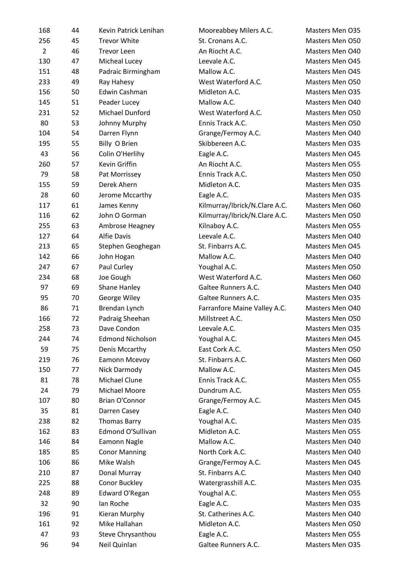| 168            | 44 | Kevin Patrick Lenihan   | Mooreabbey Milers A.C.        | Masters Men O35 |
|----------------|----|-------------------------|-------------------------------|-----------------|
| 256            | 45 | <b>Trevor White</b>     | St. Cronans A.C.              | Masters Men O50 |
| $\overline{2}$ | 46 | <b>Trevor Leen</b>      | An Riocht A.C.                | Masters Men O40 |
| 130            | 47 | Micheal Lucey           | Leevale A.C.                  | Masters Men 045 |
| 151            | 48 | Padraic Birmingham      | Mallow A.C.                   | Masters Men 045 |
| 233            | 49 | Ray Hahesy              | West Waterford A.C.           | Masters Men O50 |
| 156            | 50 | Edwin Cashman           | Midleton A.C.                 | Masters Men O35 |
| 145            | 51 | Peader Lucey            | Mallow A.C.                   | Masters Men O40 |
| 231            | 52 | Michael Dunford         | West Waterford A.C.           | Masters Men O50 |
| 80             | 53 | Johnny Murphy           | Ennis Track A.C.              | Masters Men O50 |
| 104            | 54 | Darren Flynn            | Grange/Fermoy A.C.            | Masters Men O40 |
| 195            | 55 | Billy O Brien           | Skibbereen A.C.               | Masters Men O35 |
| 43             | 56 | Colin O'Herlihy         | Eagle A.C.                    | Masters Men 045 |
| 260            | 57 | Kevin Griffin           | An Riocht A.C.                | Masters Men O55 |
| 79             | 58 | Pat Morrissey           | Ennis Track A.C.              | Masters Men O50 |
| 155            | 59 | Derek Ahern             | Midleton A.C.                 | Masters Men O35 |
| 28             | 60 | Jerome Mccarthy         | Eagle A.C.                    | Masters Men O35 |
| 117            | 61 | James Kenny             | Kilmurray/Ibrick/N.Clare A.C. | Masters Men O60 |
| 116            | 62 | John O Gorman           | Kilmurray/Ibrick/N.Clare A.C. | Masters Men O50 |
| 255            | 63 | Ambrose Heagney         | Kilnaboy A.C.                 | Masters Men O55 |
| 127            | 64 | <b>Alfie Davis</b>      | Leevale A.C.                  | Masters Men O40 |
| 213            | 65 | Stephen Geoghegan       | St. Finbarrs A.C.             | Masters Men 045 |
| 142            | 66 | John Hogan              | Mallow A.C.                   | Masters Men O40 |
| 247            | 67 | Paul Curley             | Youghal A.C.                  | Masters Men O50 |
| 234            | 68 | Joe Gough               | West Waterford A.C.           | Masters Men O60 |
| 97             | 69 | Shane Hanley            | Galtee Runners A.C.           | Masters Men O40 |
| 95             | 70 | George Wiley            | Galtee Runners A.C.           | Masters Men O35 |
| 86             | 71 | Brendan Lynch           | Farranfore Maine Valley A.C.  | Masters Men O40 |
| 166            | 72 | Padraig Sheehan         | Millstreet A.C.               | Masters Men O50 |
| 258            | 73 | Dave Condon             | Leevale A.C.                  | Masters Men O35 |
| 244            | 74 | <b>Edmond Nicholson</b> | Youghal A.C.                  | Masters Men O45 |
| 59             | 75 | Denis Mccarthy          | East Cork A.C.                | Masters Men O50 |
| 219            | 76 | Eamonn Mcevoy           | St. Finbarrs A.C.             | Masters Men O60 |
| 150            | 77 | Nick Darmody            | Mallow A.C.                   | Masters Men 045 |
| 81             | 78 | Michael Clune           | Ennis Track A.C.              | Masters Men O55 |
| 24             | 79 | Michael Moore           | Dundrum A.C.                  | Masters Men O55 |
| 107            | 80 | Brian O'Connor          | Grange/Fermoy A.C.            | Masters Men O45 |
| 35             | 81 | Darren Casey            | Eagle A.C.                    | Masters Men O40 |
| 238            | 82 | <b>Thomas Barry</b>     | Youghal A.C.                  | Masters Men O35 |
| 162            | 83 | Edmond O'Sullivan       | Midleton A.C.                 | Masters Men O55 |
| 146            | 84 | Eamonn Nagle            | Mallow A.C.                   | Masters Men O40 |
| 185            | 85 | <b>Conor Manning</b>    | North Cork A.C.               | Masters Men O40 |
| 106            | 86 | Mike Walsh              | Grange/Fermoy A.C.            | Masters Men 045 |
| 210            | 87 | Donal Murray            | St. Finbarrs A.C.             | Masters Men O40 |
| 225            | 88 | Conor Buckley           | Watergrasshill A.C.           | Masters Men O35 |
| 248            | 89 | Edward O'Regan          | Youghal A.C.                  | Masters Men O55 |
| 32             | 90 | Ian Roche               | Eagle A.C.                    | Masters Men O35 |
| 196            | 91 | Kieran Murphy           | St. Catherines A.C.           | Masters Men O40 |
| 161            | 92 | Mike Hallahan           | Midleton A.C.                 | Masters Men O50 |
| 47             | 93 | Steve Chrysanthou       | Eagle A.C.                    | Masters Men O55 |
| 96             | 94 | Neil Quinlan            | Galtee Runners A.C.           | Masters Men O35 |
|                |    |                         |                               |                 |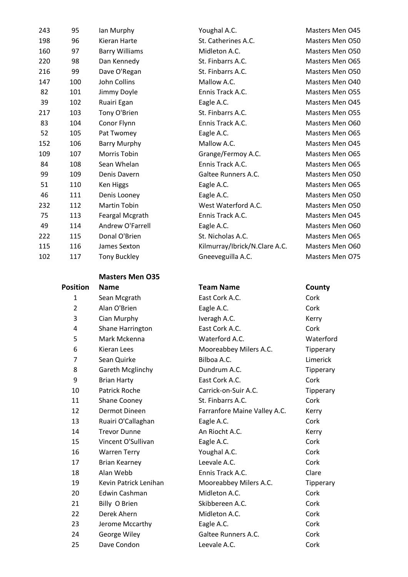| 243 | 95  | lan Murphy            | Youghal A.C.                  | Masters Men 045 |
|-----|-----|-----------------------|-------------------------------|-----------------|
| 198 | 96  | Kieran Harte          | St. Catherines A.C.           | Masters Men O50 |
| 160 | 97  | <b>Barry Williams</b> | Midleton A.C.                 | Masters Men O50 |
| 220 | 98  | Dan Kennedy           | St. Finbarrs A.C.             | Masters Men O65 |
| 216 | 99  | Dave O'Regan          | St. Finbarrs A.C.             | Masters Men O50 |
| 147 | 100 | John Collins          | Mallow A.C.                   | Masters Men O40 |
| 82  | 101 | Jimmy Doyle           | Ennis Track A.C.              | Masters Men O55 |
| 39  | 102 | Ruairi Egan           | Eagle A.C.                    | Masters Men 045 |
| 217 | 103 | Tony O'Brien          | St. Finbarrs A.C.             | Masters Men O55 |
| 83  | 104 | Conor Flynn           | Ennis Track A.C.              | Masters Men O60 |
| 52  | 105 | Pat Twomey            | Eagle A.C.                    | Masters Men O65 |
| 152 | 106 | <b>Barry Murphy</b>   | Mallow A.C.                   | Masters Men 045 |
| 109 | 107 | Morris Tobin          | Grange/Fermoy A.C.            | Masters Men O65 |
| 84  | 108 | Sean Whelan           | Ennis Track A.C.              | Masters Men O65 |
| 99  | 109 | Denis Davern          | Galtee Runners A.C.           | Masters Men O50 |
| 51  | 110 | Ken Higgs             | Eagle A.C.                    | Masters Men O65 |
| 46  | 111 | Denis Looney          | Eagle A.C.                    | Masters Men O50 |
| 232 | 112 | Martin Tobin          | West Waterford A.C.           | Masters Men O50 |
| 75  | 113 | Feargal Mcgrath       | Ennis Track A.C.              | Masters Men 045 |
| 49  | 114 | Andrew O'Farrell      | Eagle A.C.                    | Masters Men O60 |
| 222 | 115 | Donal O'Brien         | St. Nicholas A.C.             | Masters Men O65 |
| 115 | 116 | James Sexton          | Kilmurray/Ibrick/N.Clare A.C. | Masters Men O60 |
| 102 | 117 | <b>Tony Buckley</b>   | Gneeveguilla A.C.             | Masters Men 075 |

## **Masters Men O35**

| <b>Position</b> | <b>Name</b>           | <b>Team Name</b>             | County   |
|-----------------|-----------------------|------------------------------|----------|
| 1               | Sean Mcgrath          | East Cork A.C.               | Cork     |
| $\overline{2}$  | Alan O'Brien          | Eagle A.C.                   | Cork     |
| 3               | Cian Murphy           | Iveragh A.C.                 | Kerry    |
| 4               | Shane Harrington      | East Cork A.C.               | Cork     |
| 5               | Mark Mckenna          | Waterford A.C.               | Waterfo  |
| 6               | Kieran Lees           | Mooreabbey Milers A.C.       | Tipperar |
| $\overline{7}$  | Sean Quirke           | Bilboa A.C.                  | Limerick |
| 8               | Gareth Mcglinchy      | Dundrum A.C.                 | Tipperar |
| 9               | <b>Brian Harty</b>    | East Cork A.C.               | Cork     |
| 10              | <b>Patrick Roche</b>  | Carrick-on-Suir A.C.         | Tipperar |
| 11              | Shane Cooney          | St. Finbarrs A.C.            | Cork     |
| 12              | Dermot Dineen         | Farranfore Maine Valley A.C. | Kerry    |
| 13              | Ruairi O'Callaghan    | Eagle A.C.                   | Cork     |
| 14              | <b>Trevor Dunne</b>   | An Riocht A.C.               | Kerry    |
| 15              | Vincent O'Sullivan    | Eagle A.C.                   | Cork     |
| 16              | <b>Warren Terry</b>   | Youghal A.C.                 | Cork     |
| 17              | <b>Brian Kearney</b>  | Leevale A.C.                 | Cork     |
| 18              | Alan Webb             | Ennis Track A.C.             | Clare    |
| 19              | Kevin Patrick Lenihan | Mooreabbey Milers A.C.       | Tipperar |
| 20              | Edwin Cashman         | Midleton A.C.                | Cork     |
| 21              | Billy O Brien         | Skibbereen A.C.              | Cork     |
| 22              | Derek Ahern           | Midleton A.C.                | Cork     |
| 23              | Jerome Mccarthy       | Eagle A.C.                   | Cork     |
| 24              | George Wiley          | Galtee Runners A.C.          | Cork     |
| 25              | Dave Condon           | Leevale A.C.                 | Cork     |

# 1 East Cork A.C. Cork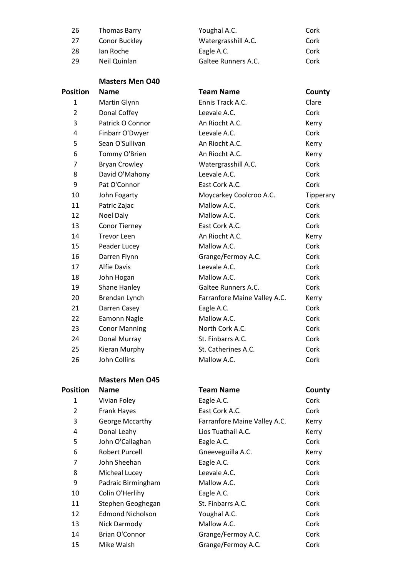| 26              | <b>Thomas Barry</b>     | Youghal A.C.                 | Cork      |
|-----------------|-------------------------|------------------------------|-----------|
| 27              | Conor Buckley           | Watergrasshill A.C.          | Cork      |
| 28              | Ian Roche               | Eagle A.C.                   | Cork      |
| 29              | Neil Quinlan            | Galtee Runners A.C.          | Cork      |
|                 | <b>Masters Men O40</b>  |                              |           |
| <b>Position</b> | <b>Name</b>             | <b>Team Name</b>             | County    |
| 1               | Martin Glynn            | Ennis Track A.C.             | Clare     |
| $\overline{2}$  | Donal Coffey            | Leevale A.C.                 | Cork      |
| 3               | Patrick O Connor        | An Riocht A.C.               | Kerry     |
| 4               | Finbarr O'Dwyer         | Leevale A.C.                 | Cork      |
| 5               | Sean O'Sullivan         | An Riocht A.C.               | Kerry     |
| 6               | Tommy O'Brien           | An Riocht A.C.               | Kerry     |
| 7               | <b>Bryan Crowley</b>    | Watergrasshill A.C.          | Cork      |
| 8               | David O'Mahony          | Leevale A.C.                 | Cork      |
| 9               | Pat O'Connor            | East Cork A.C.               | Cork      |
| 10              | John Fogarty            | Moycarkey Coolcroo A.C.      | Tipperary |
| 11              | Patric Zajac            | Mallow A.C.                  | Cork      |
| 12              | Noel Daly               | Mallow A.C.                  | Cork      |
| 13              | <b>Conor Tierney</b>    | East Cork A.C.               | Cork      |
| 14              | <b>Trevor Leen</b>      | An Riocht A.C.               | Kerry     |
| 15              | Peader Lucey            | Mallow A.C.                  | Cork      |
| 16              | Darren Flynn            | Grange/Fermoy A.C.           | Cork      |
| 17              | <b>Alfie Davis</b>      | Leevale A.C.                 | Cork      |
| 18              | John Hogan              | Mallow A.C.                  | Cork      |
| 19              | Shane Hanley            | Galtee Runners A.C.          | Cork      |
| 20              | Brendan Lynch           | Farranfore Maine Valley A.C. | Kerry     |
| 21              | Darren Casey            | Eagle A.C.                   | Cork      |
| 22              | Eamonn Nagle            | Mallow A.C.                  | Cork      |
| 23              | <b>Conor Manning</b>    | North Cork A.C.              | Cork      |
| 24              | Donal Murray            | St. Finbarrs A.C.            | Cork      |
| 25              | Kieran Murphy           | St. Catherines A.C.          | Cork      |
| 26              | John Collins            | Mallow A.C.                  | Cork      |
|                 | <b>Masters Men O45</b>  |                              |           |
| <b>Position</b> | <b>Name</b>             | <b>Team Name</b>             | County    |
| 1               | Vivian Foley            | Eagle A.C.                   | Cork      |
| $\overline{2}$  | Frank Hayes             | East Cork A.C.               | Cork      |
| 3               | George Mccarthy         | Farranfore Maine Valley A.C. | Kerry     |
| 4               | Donal Leahy             | Lios Tuathail A.C.           | Kerry     |
| 5               | John O'Callaghan        | Eagle A.C.                   | Cork      |
| 6               | <b>Robert Purcell</b>   | Gneeveguilla A.C.            | Kerry     |
| $\overline{7}$  | John Sheehan            | Eagle A.C.                   | Cork      |
| 8               | Micheal Lucey           | Leevale A.C.                 | Cork      |
| 9               | Padraic Birmingham      | Mallow A.C.                  | Cork      |
| 10              | Colin O'Herlihy         | Eagle A.C.                   | Cork      |
| 11              | Stephen Geoghegan       | St. Finbarrs A.C.            | Cork      |
| 12              | <b>Edmond Nicholson</b> | Youghal A.C.                 | Cork      |
| 13              | Nick Darmody            | Mallow A.C.                  | Cork      |
| 14              | <b>Brian O'Connor</b>   | Grange/Fermoy A.C.           | Cork      |
| 15              | Mike Walsh              | Grange/Fermoy A.C.           | Cork      |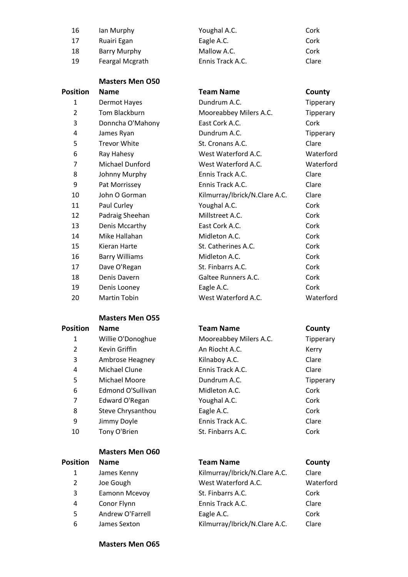| 16 | lan Murphy      | Youghal A.C.     | Cork  |
|----|-----------------|------------------|-------|
| 17 | Ruairi Egan     | Eagle A.C.       | Cork  |
| 18 | Barry Murphy    | Mallow A.C.      | Cork  |
| 19 | Feargal Mcgrath | Ennis Track A.C. | Clare |

|                | <b>Masters Men O50</b> |                               |           |
|----------------|------------------------|-------------------------------|-----------|
| Position       | <b>Name</b>            | <b>Team Name</b>              | County    |
| 1              | Dermot Hayes           | Dundrum A.C.                  | Tipperary |
| $\overline{2}$ | Tom Blackburn          | Mooreabbey Milers A.C.        | Tipperary |
| 3              | Donncha O'Mahony       | East Cork A.C.                | Cork      |
| 4              | James Ryan             | Dundrum A.C.                  | Tipperary |
| 5              | <b>Trevor White</b>    | St. Cronans A.C.              | Clare     |
| 6              | Ray Hahesy             | West Waterford A.C.           | Waterford |
| 7              | <b>Michael Dunford</b> | West Waterford A.C.           | Waterford |
| 8              | Johnny Murphy          | Ennis Track A.C.              | Clare     |
| 9              | Pat Morrissey          | Ennis Track A.C.              | Clare     |
| 10             | John O Gorman          | Kilmurray/Ibrick/N.Clare A.C. | Clare     |
| 11             | Paul Curley            | Youghal A.C.                  | Cork      |
| 12             | Padraig Sheehan        | Millstreet A.C.               | Cork      |
| 13             | Denis Mccarthy         | East Cork A.C.                | Cork      |
| 14             | Mike Hallahan          | Midleton A.C.                 | Cork      |
| 15             | Kieran Harte           | St. Catherines A.C.           | Cork      |
| 16             | <b>Barry Williams</b>  | Midleton A.C.                 | Cork      |
| 17             | Dave O'Regan           | St. Finbarrs A.C.             | Cork      |
| 18             | Denis Davern           | Galtee Runners A.C.           | Cork      |
| 19             | Denis Looney           | Eagle A.C.                    | Cork      |
| 20             | <b>Martin Tobin</b>    | West Waterford A.C.           | Waterford |

## **Masters Men O55**

| <b>Position</b> | <b>Name</b>       | <b>Team Name</b>       | County    |
|-----------------|-------------------|------------------------|-----------|
| 1               | Willie O'Donoghue | Mooreabbey Milers A.C. | Tipperary |
| 2               | Kevin Griffin     | An Riocht A.C.         | Kerry     |
| 3               | Ambrose Heagney   | Kilnaboy A.C.          | Clare     |
| 4               | Michael Clune     | Ennis Track A.C.       | Clare     |
| 5               | Michael Moore     | Dundrum A.C.           | Tipperary |
| 6               | Edmond O'Sullivan | Midleton A.C.          | Cork      |
| 7               | Edward O'Regan    | Youghal A.C.           | Cork      |
| 8               | Steve Chrysanthou | Eagle A.C.             | Cork      |
| 9               | Jimmy Doyle       | Ennis Track A.C.       | Clare     |
| 10              | Tony O'Brien      | St. Finbarrs A.C.      | Cork      |

| <b>Position</b> | <b>Name</b>      | <b>Team Name</b>              | County    |
|-----------------|------------------|-------------------------------|-----------|
| 1               | James Kenny      | Kilmurray/Ibrick/N.Clare A.C. | Clare     |
| 2               | Joe Gough        | West Waterford A.C.           | Waterford |
| 3               | Eamonn Mcevoy    | St. Finbarrs A.C.             | Cork      |
| 4               | Conor Flynn      | Ennis Track A.C.              | Clare     |
| 5               | Andrew O'Farrell | Eagle A.C.                    | Cork      |
| 6               | James Sexton     | Kilmurray/Ibrick/N.Clare A.C. | Clare     |

| Clare     |
|-----------|
| Waterforc |
| Cork      |
| Clare     |
| Cork      |
| Clare     |

### **Masters Men O65**

**Masters Men O60**